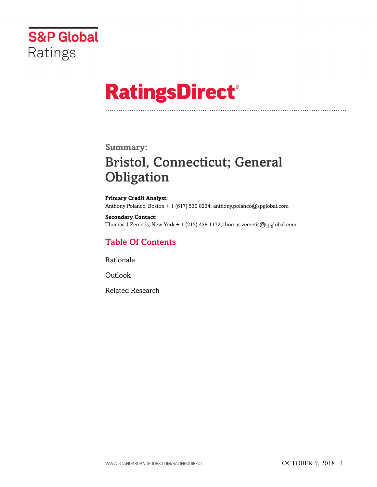

# **RatingsDirect®**

### **Summary:**

# Bristol, Connecticut; General **Obligation**

**Primary Credit Analyst:** Anthony Polanco, Boston + 1 (617) 530 8234; anthony.polanco@spglobal.com

**Secondary Contact:** Thomas J Zemetis, New York + 1 (212) 438 1172; thomas.zemetis@spglobal.com

# Table Of Contents

[Rationale](#page-1-0)

[Outlook](#page-5-0)

[Related Research](#page-5-1)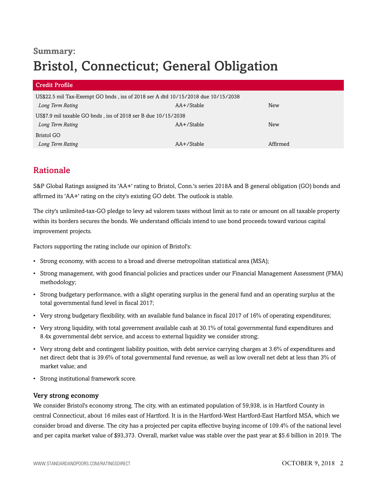# **Summary:** Bristol, Connecticut; General Obligation

| <b>Credit Profile</b>                                                            |               |            |  |
|----------------------------------------------------------------------------------|---------------|------------|--|
| US\$22.5 mil Tax-Exempt GO bnds, iss of 2018 ser A dtd 10/15/2018 due 10/15/2038 |               |            |  |
| Long Term Rating                                                                 | $AA+$ /Stable | New        |  |
| US\$7.9 mil taxable GO bnds, iss of 2018 ser B due 10/15/2038                    |               |            |  |
| Long Term Rating                                                                 | $AA+$ /Stable | <b>New</b> |  |
| Bristol GO                                                                       |               |            |  |
| Long Term Rating                                                                 | $AA+$ /Stable | Affirmed   |  |

# <span id="page-1-0"></span>Rationale

S&P Global Ratings assigned its 'AA+' rating to Bristol, Conn.'s series 2018A and B general obligation (GO) bonds and affirmed its 'AA+' rating on the city's existing GO debt. The outlook is stable.

The city's unlimited-tax-GO pledge to levy ad valorem taxes without limit as to rate or amount on all taxable property within its borders secures the bonds. We understand officials intend to use bond proceeds toward various capital improvement projects.

Factors supporting the rating include our opinion of Bristol's:

- Strong economy, with access to a broad and diverse metropolitan statistical area (MSA);
- Strong management, with good financial policies and practices under our Financial Management Assessment (FMA) methodology;
- Strong budgetary performance, with a slight operating surplus in the general fund and an operating surplus at the total governmental fund level in fiscal 2017;
- Very strong budgetary flexibility, with an available fund balance in fiscal 2017 of 16% of operating expenditures;
- Very strong liquidity, with total government available cash at 30.1% of total governmental fund expenditures and 8.4x governmental debt service, and access to external liquidity we consider strong;
- Very strong debt and contingent liability position, with debt service carrying charges at 3.6% of expenditures and net direct debt that is 39.6% of total governmental fund revenue, as well as low overall net debt at less than 3% of market value; and
- Strong institutional framework score.

#### Very strong economy

We consider Bristol's economy strong. The city, with an estimated population of 59,938, is in Hartford County in central Connecticut, about 16 miles east of Hartford. It is in the Hartford-West Hartford-East Hartford MSA, which we consider broad and diverse. The city has a projected per capita effective buying income of 109.4% of the national level and per capita market value of \$93,373. Overall, market value was stable over the past year at \$5.6 billion in 2019. The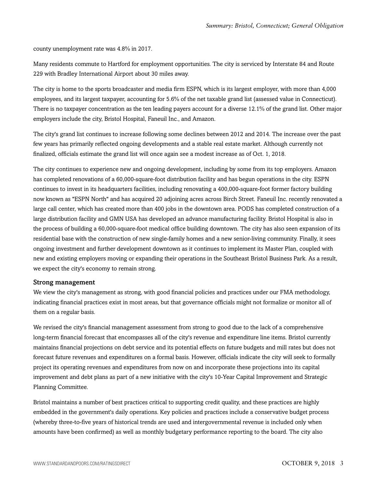county unemployment rate was 4.8% in 2017.

Many residents commute to Hartford for employment opportunities. The city is serviced by Interstate 84 and Route 229 with Bradley International Airport about 30 miles away.

The city is home to the sports broadcaster and media firm ESPN, which is its largest employer, with more than 4,000 employees, and its largest taxpayer, accounting for 5.6% of the net taxable grand list (assessed value in Connecticut). There is no taxpayer concentration as the ten leading payers account for a diverse 12.1% of the grand list. Other major employers include the city, Bristol Hospital, Faneuil Inc., and Amazon.

The city's grand list continues to increase following some declines between 2012 and 2014. The increase over the past few years has primarily reflected ongoing developments and a stable real estate market. Although currently not finalized, officials estimate the grand list will once again see a modest increase as of Oct. 1, 2018.

The city continues to experience new and ongoing development, including by some from its top employers. Amazon has completed renovations of a 60,000-square-foot distribution facility and has begun operations in the city. ESPN continues to invest in its headquarters facilities, including renovating a 400,000-square-foot former factory building now known as "ESPN North" and has acquired 20 adjoining acres across Birch Street. Faneuil Inc. recently renovated a large call center, which has created more than 400 jobs in the downtown area. PODS has completed construction of a large distribution facility and GMN USA has developed an advance manufacturing facility. Bristol Hospital is also in the process of building a 60,000-square-foot medical office building downtown. The city has also seen expansion of its residential base with the construction of new single-family homes and a new senior-living community. Finally, it sees ongoing investment and further development downtown as it continues to implement its Master Plan, coupled with new and existing employers moving or expanding their operations in the Southeast Bristol Business Park. As a result, we expect the city's economy to remain strong.

#### Strong management

We view the city's management as strong, with good financial policies and practices under our FMA methodology, indicating financial practices exist in most areas, but that governance officials might not formalize or monitor all of them on a regular basis.

We revised the city's financial management assessment from strong to good due to the lack of a comprehensive long-term financial forecast that encompasses all of the city's revenue and expenditure line items. Bristol currently maintains financial projections on debt service and its potential effects on future budgets and mill rates but does not forecast future revenues and expenditures on a formal basis. However, officials indicate the city will seek to formally project its operating revenues and expenditures from now on and incorporate these projections into its capital improvement and debt plans as part of a new initiative with the city's 10-Year Capital Improvement and Strategic Planning Committee.

Bristol maintains a number of best practices critical to supporting credit quality, and these practices are highly embedded in the government's daily operations. Key policies and practices include a conservative budget process (whereby three-to-five years of historical trends are used and intergovernmental revenue is included only when amounts have been confirmed) as well as monthly budgetary performance reporting to the board. The city also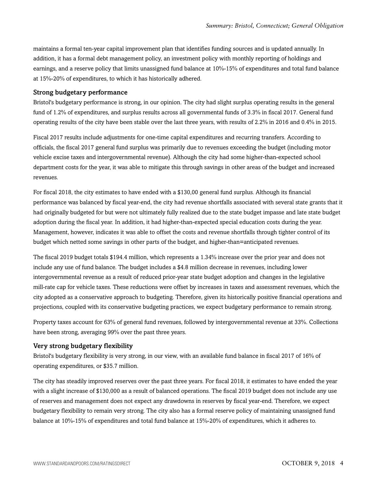maintains a formal ten-year capital improvement plan that identifies funding sources and is updated annually. In addition, it has a formal debt management policy, an investment policy with monthly reporting of holdings and earnings, and a reserve policy that limits unassigned fund balance at 10%-15% of expenditures and total fund balance at 15%-20% of expenditures, to which it has historically adhered.

#### Strong budgetary performance

Bristol's budgetary performance is strong, in our opinion. The city had slight surplus operating results in the general fund of 1.2% of expenditures, and surplus results across all governmental funds of 3.3% in fiscal 2017. General fund operating results of the city have been stable over the last three years, with results of 2.2% in 2016 and 0.4% in 2015.

Fiscal 2017 results include adjustments for one-time capital expenditures and recurring transfers. According to officials, the fiscal 2017 general fund surplus was primarily due to revenues exceeding the budget (including motor vehicle excise taxes and intergovernmental revenue). Although the city had some higher-than-expected school department costs for the year, it was able to mitigate this through savings in other areas of the budget and increased revenues.

For fiscal 2018, the city estimates to have ended with a \$130,00 general fund surplus. Although its financial performance was balanced by fiscal year-end, the city had revenue shortfalls associated with several state grants that it had originally budgeted for but were not ultimately fully realized due to the state budget impasse and late state budget adoption during the fiscal year. In addition, it had higher-than-expected special education costs during the year. Management, however, indicates it was able to offset the costs and revenue shortfalls through tighter control of its budget which netted some savings in other parts of the budget, and higher-than=anticipated revenues.

The fiscal 2019 budget totals \$194.4 million, which represents a 1.34% increase over the prior year and does not include any use of fund balance. The budget includes a \$4.8 million decrease in revenues, including lower intergovernmental revenue as a result of reduced prior-year state budget adoption and changes in the legislative mill-rate cap for vehicle taxes. These reductions were offset by increases in taxes and assessment revenues, which the city adopted as a conservative approach to budgeting. Therefore, given its historically positive financial operations and projections, coupled with its conservative budgeting practices, we expect budgetary performance to remain strong.

Property taxes account for 63% of general fund revenues, followed by intergovernmental revenue at 33%. Collections have been strong, averaging 99% over the past three years.

#### Very strong budgetary flexibility

Bristol's budgetary flexibility is very strong, in our view, with an available fund balance in fiscal 2017 of 16% of operating expenditures, or \$35.7 million.

The city has steadily improved reserves over the past three years. For fiscal 2018, it estimates to have ended the year with a slight increase of \$130,000 as a result of balanced operations. The fiscal 2019 budget does not include any use of reserves and management does not expect any drawdowns in reserves by fiscal year-end. Therefore, we expect budgetary flexibility to remain very strong. The city also has a formal reserve policy of maintaining unassigned fund balance at 10%-15% of expenditures and total fund balance at 15%-20% of expenditures, which it adheres to.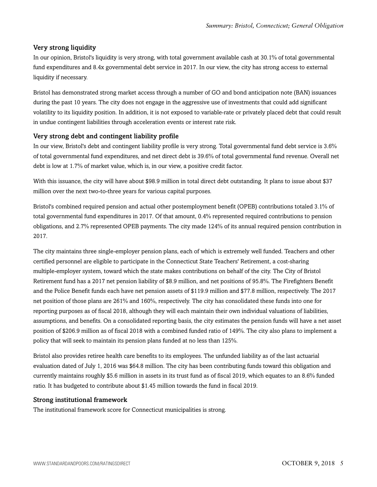#### Very strong liquidity

In our opinion, Bristol's liquidity is very strong, with total government available cash at 30.1% of total governmental fund expenditures and 8.4x governmental debt service in 2017. In our view, the city has strong access to external liquidity if necessary.

Bristol has demonstrated strong market access through a number of GO and bond anticipation note (BAN) issuances during the past 10 years. The city does not engage in the aggressive use of investments that could add significant volatility to its liquidity position. In addition, it is not exposed to variable-rate or privately placed debt that could result in undue contingent liabilities through acceleration events or interest rate risk.

#### Very strong debt and contingent liability profile

In our view, Bristol's debt and contingent liability profile is very strong. Total governmental fund debt service is 3.6% of total governmental fund expenditures, and net direct debt is 39.6% of total governmental fund revenue. Overall net debt is low at 1.7% of market value, which is, in our view, a positive credit factor.

With this issuance, the city will have about \$98.9 million in total direct debt outstanding. It plans to issue about \$37 million over the next two-to-three years for various capital purposes.

Bristol's combined required pension and actual other postemployment benefit (OPEB) contributions totaled 3.1% of total governmental fund expenditures in 2017. Of that amount, 0.4% represented required contributions to pension obligations, and 2.7% represented OPEB payments. The city made 124% of its annual required pension contribution in 2017.

The city maintains three single-employer pension plans, each of which is extremely well funded. Teachers and other certified personnel are eligible to participate in the Connecticut State Teachers' Retirement, a cost-sharing multiple-employer system, toward which the state makes contributions on behalf of the city. The City of Bristol Retirement fund has a 2017 net pension liability of \$8.9 million, and net positions of 95.8%. The Firefighters Benefit and the Police Benefit funds each have net pension assets of \$119.9 million and \$77.8 million, respectively. The 2017 net position of those plans are 261% and 160%, respectively. The city has consolidated these funds into one for reporting purposes as of fiscal 2018, although they will each maintain their own individual valuations of liabilities, assumptions, and benefits. On a consolidated reporting basis, the city estimates the pension funds will have a net asset position of \$206.9 million as of fiscal 2018 with a combined funded ratio of 149%. The city also plans to implement a policy that will seek to maintain its pension plans funded at no less than 125%.

Bristol also provides retiree health care benefits to its employees. The unfunded liability as of the last actuarial evaluation dated of July 1, 2016 was \$64.8 million. The city has been contributing funds toward this obligation and currently maintains roughly \$5.6 million in assets in its trust fund as of fiscal 2019, which equates to an 8.6% funded ratio. It has budgeted to contribute about \$1.45 million towards the fund in fiscal 2019.

#### Strong institutional framework

The institutional framework score for Connecticut municipalities is strong.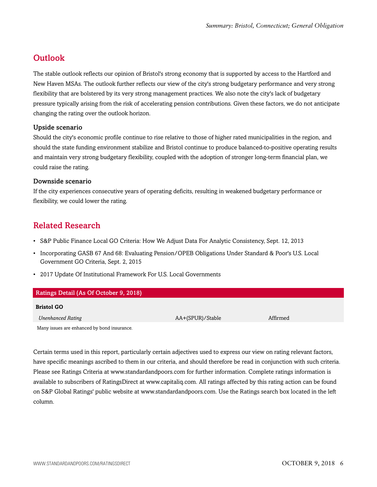## <span id="page-5-0"></span>**Outlook**

The stable outlook reflects our opinion of Bristol's strong economy that is supported by access to the Hartford and New Haven MSAs. The outlook further reflects our view of the city's strong budgetary performance and very strong flexibility that are bolstered by its very strong management practices. We also note the city's lack of budgetary pressure typically arising from the risk of accelerating pension contributions. Given these factors, we do not anticipate changing the rating over the outlook horizon.

#### Upside scenario

Should the city's economic profile continue to rise relative to those of higher rated municipalities in the region, and should the state funding environment stabilize and Bristol continue to produce balanced-to-positive operating results and maintain very strong budgetary flexibility, coupled with the adoption of stronger long-term financial plan, we could raise the rating.

#### Downside scenario

If the city experiences consecutive years of operating deficits, resulting in weakened budgetary performance or flexibility, we could lower the rating.

### <span id="page-5-1"></span>Related Research

- S&P Public Finance Local GO Criteria: How We Adjust Data For Analytic Consistency, Sept. 12, 2013
- Incorporating GASB 67 And 68: Evaluating Pension/OPEB Obligations Under Standard & Poor's U.S. Local Government GO Criteria, Sept. 2, 2015
- 2017 Update Of Institutional Framework For U.S. Local Governments

| Ratings Detail (As Of October 9, 2018)      |                  |          |  |
|---------------------------------------------|------------------|----------|--|
| <b>Bristol GO</b>                           |                  |          |  |
| <b>Unenhanced Rating</b>                    | AA+(SPUR)/Stable | Affirmed |  |
| Many issues are enhanced by bond insurance. |                  |          |  |

Certain terms used in this report, particularly certain adjectives used to express our view on rating relevant factors, have specific meanings ascribed to them in our criteria, and should therefore be read in conjunction with such criteria. Please see Ratings Criteria at www.standardandpoors.com for further information. Complete ratings information is available to subscribers of RatingsDirect at www.capitaliq.com. All ratings affected by this rating action can be found on S&P Global Ratings' public website at www.standardandpoors.com. Use the Ratings search box located in the left column.